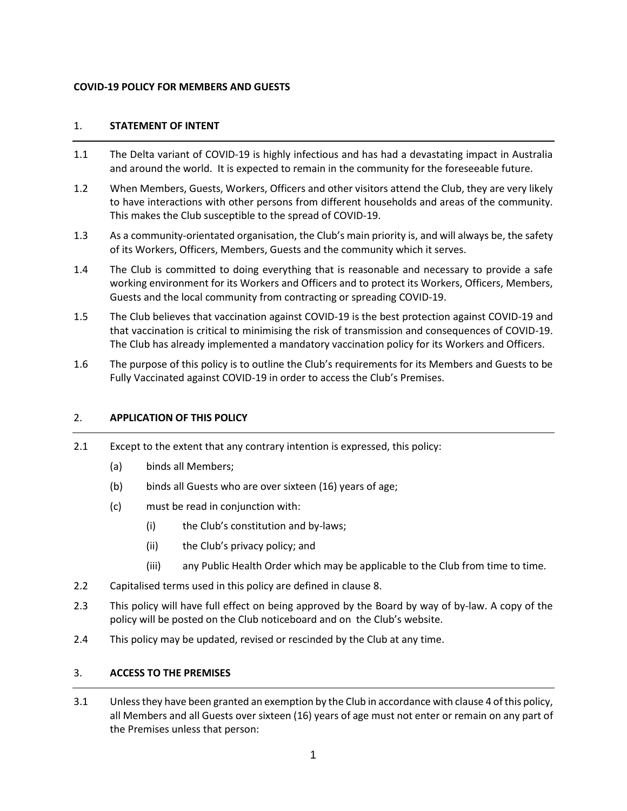## **COVID-19 POLICY FOR MEMBERS AND GUESTS**

## 1. **STATEMENT OF INTENT**

- 1.1 The Delta variant of COVID-19 is highly infectious and has had a devastating impact in Australia and around the world. It is expected to remain in the community for the foreseeable future.
- 1.2 When Members, Guests, Workers, Officers and other visitors attend the Club, they are very likely to have interactions with other persons from different households and areas of the community. This makes the Club susceptible to the spread of COVID-19.
- 1.3 As a community-orientated organisation, the Club's main priority is, and will always be, the safety of its Workers, Officers, Members, Guests and the community which it serves.
- 1.4 The Club is committed to doing everything that is reasonable and necessary to provide a safe working environment for its Workers and Officers and to protect its Workers, Officers, Members, Guests and the local community from contracting or spreading COVID-19.
- 1.5 The Club believes that vaccination against COVID-19 is the best protection against COVID-19 and that vaccination is critical to minimising the risk of transmission and consequences of COVID-19. The Club has already implemented a mandatory vaccination policy for its Workers and Officers.
- 1.6 The purpose of this policy is to outline the Club's requirements for its Members and Guests to be Fully Vaccinated against COVID-19 in order to access the Club's Premises.

### 2. **APPLICATION OF THIS POLICY**

- 2.1 Except to the extent that any contrary intention is expressed, this policy:
	- (a) binds all Members;
	- (b) binds all Guests who are over sixteen (16) years of age;
	- (c) must be read in conjunction with:
		- (i) the Club's constitution and by-laws;
		- (ii) the Club's privacy policy; and
		- (iii) any Public Health Order which may be applicable to the Club from time to time.
- 2.2 Capitalised terms used in this policy are defined in clause [8.](#page-4-0)
- 2.3 This policy will have full effect on being approved by the Board by way of by-law. A copy of the policy will be posted on the Club noticeboard and on the Club's website.
- 2.4 This policy may be updated, revised or rescinded by the Club at any time.

## <span id="page-0-0"></span>3. **ACCESS TO THE PREMISES**

3.1 Unless they have been granted an exemption by the Club in accordance with claus[e 4](#page-1-0) of this policy, all Members and all Guests over sixteen (16) years of age must not enter or remain on any part of the Premises unless that person: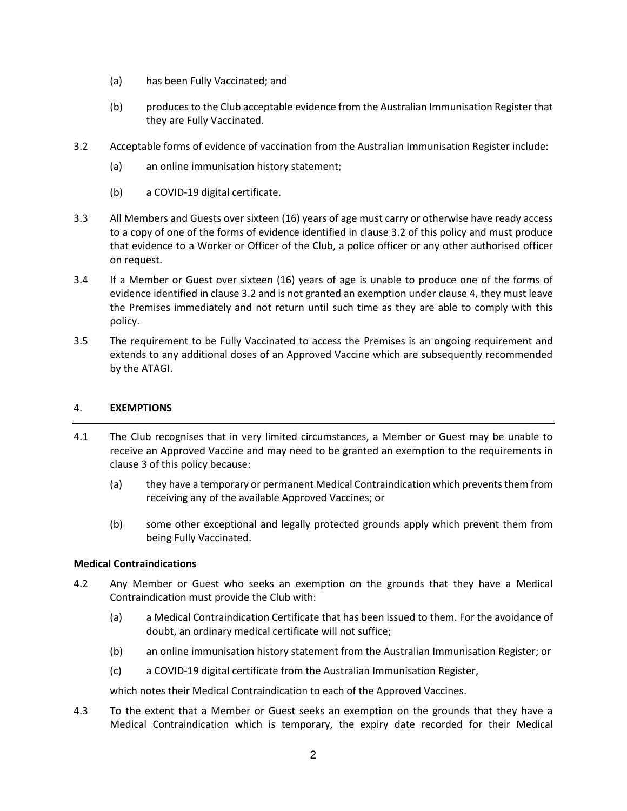- (a) has been Fully Vaccinated; and
- (b) produces to the Club acceptable evidence from the Australian Immunisation Register that they are Fully Vaccinated.
- <span id="page-1-1"></span>3.2 Acceptable forms of evidence of vaccination from the Australian Immunisation Register include:
	- (a) an online immunisation history statement;
	- (b) a COVID-19 digital certificate.
- 3.3 All Members and Guests over sixteen (16) years of age must carry or otherwise have ready access to a copy of one of the forms of evidence identified in clause [3.2](#page-1-1) of this policy and must produce that evidence to a Worker or Officer of the Club, a police officer or any other authorised officer on request.
- 3.4 If a Member or Guest over sixteen (16) years of age is unable to produce one of the forms of evidence identified in clause [3.2](#page-1-1) and is not granted an exemption under claus[e 4,](#page-1-0) they must leave the Premises immediately and not return until such time as they are able to comply with this policy.
- 3.5 The requirement to be Fully Vaccinated to access the Premises is an ongoing requirement and extends to any additional doses of an Approved Vaccine which are subsequently recommended by the ATAGI.

## <span id="page-1-0"></span>4. **EXEMPTIONS**

- 4.1 The Club recognises that in very limited circumstances, a Member or Guest may be unable to receive an Approved Vaccine and may need to be granted an exemption to the requirements in clause [3](#page-0-0) of this policy because:
	- (a) they have a temporary or permanent Medical Contraindication which prevents them from receiving any of the available Approved Vaccines; or
	- (b) some other exceptional and legally protected grounds apply which prevent them from being Fully Vaccinated.

## **Medical Contraindications**

- <span id="page-1-2"></span>4.2 Any Member or Guest who seeks an exemption on the grounds that they have a Medical Contraindication must provide the Club with:
	- (a) a Medical Contraindication Certificate that has been issued to them. For the avoidance of doubt, an ordinary medical certificate will not suffice;
	- (b) an online immunisation history statement from the Australian Immunisation Register; or
	- (c) a COVID-19 digital certificate from the Australian Immunisation Register,

which notes their Medical Contraindication to each of the Approved Vaccines.

4.3 To the extent that a Member or Guest seeks an exemption on the grounds that they have a Medical Contraindication which is temporary, the expiry date recorded for their Medical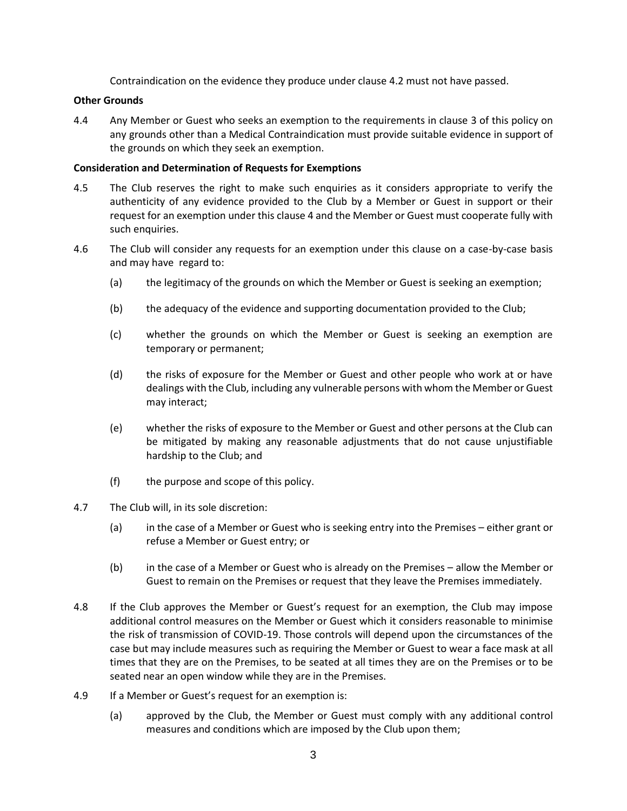Contraindication on the evidence they produce under clause [4.2](#page-1-2) must not have passed.

#### **Other Grounds**

<span id="page-2-0"></span>4.4 Any Member or Guest who seeks an exemption to the requirements in clause [3](#page-0-0) of this policy on any grounds other than a Medical Contraindication must provide suitable evidence in support of the grounds on which they seek an exemption.

#### **Consideration and Determination of Requests for Exemptions**

- 4.5 The Club reserves the right to make such enquiries as it considers appropriate to verify the authenticity of any evidence provided to the Club by a Member or Guest in support or their request for an exemption under this claus[e 4](#page-1-0) and the Member or Guest must cooperate fully with such enquiries.
- 4.6 The Club will consider any requests for an exemption under this clause on a case-by-case basis and may have regard to:
	- (a) the legitimacy of the grounds on which the Member or Guest is seeking an exemption;
	- (b) the adequacy of the evidence and supporting documentation provided to the Club;
	- (c) whether the grounds on which the Member or Guest is seeking an exemption are temporary or permanent;
	- (d) the risks of exposure for the Member or Guest and other people who work at or have dealings with the Club, including any vulnerable persons with whom the Member or Guest may interact;
	- (e) whether the risks of exposure to the Member or Guest and other persons at the Club can be mitigated by making any reasonable adjustments that do not cause unjustifiable hardship to the Club; and
	- (f) the purpose and scope of this policy.
- 4.7 The Club will, in its sole discretion:
	- (a) in the case of a Member or Guest who is seeking entry into the Premises either grant or refuse a Member or Guest entry; or
	- (b) in the case of a Member or Guest who is already on the Premises allow the Member or Guest to remain on the Premises or request that they leave the Premises immediately.
- 4.8 If the Club approves the Member or Guest's request for an exemption, the Club may impose additional control measures on the Member or Guest which it considers reasonable to minimise the risk of transmission of COVID-19. Those controls will depend upon the circumstances of the case but may include measures such as requiring the Member or Guest to wear a face mask at all times that they are on the Premises, to be seated at all times they are on the Premises or to be seated near an open window while they are in the Premises.
- 4.9 If a Member or Guest's request for an exemption is:
	- (a) approved by the Club, the Member or Guest must comply with any additional control measures and conditions which are imposed by the Club upon them;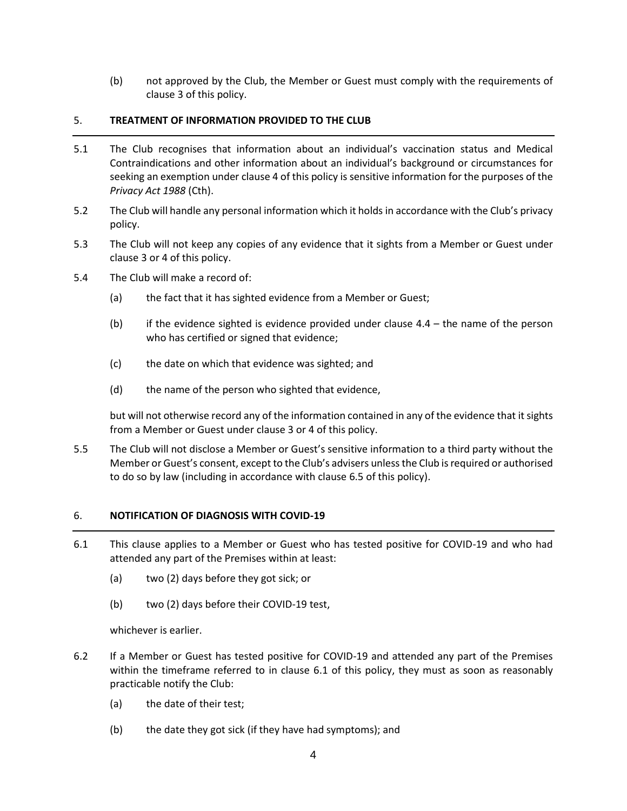(b) not approved by the Club, the Member or Guest must comply with the requirements of clause [3](#page-0-0) of this policy.

## 5. **TREATMENT OF INFORMATION PROVIDED TO THE CLUB**

- 5.1 The Club recognises that information about an individual's vaccination status and Medical Contraindications and other information about an individual's background or circumstances for seeking an exemption under clause [4](#page-1-0) of this policy is sensitive information for the purposes of the *Privacy Act 1988* (Cth).
- 5.2 The Club will handle any personal information which it holds in accordance with the Club's privacy policy.
- 5.3 The Club will not keep any copies of any evidence that it sights from a Member or Guest under clause [3](#page-0-0) or [4](#page-1-0) of this policy.
- 5.4 The Club will make a record of:
	- (a) the fact that it has sighted evidence from a Member or Guest;
	- (b) if the evidence sighted is evidence provided under clause  $4.4 -$  the name of the person who has certified or signed that evidence;
	- (c) the date on which that evidence was sighted; and
	- (d) the name of the person who sighted that evidence,

but will not otherwise record any of the information contained in any of the evidence that it sights from a Member or Guest under clause [3](#page-0-0) or [4](#page-1-0) of this policy.

5.5 The Club will not disclose a Member or Guest's sensitive information to a third party without the Member or Guest's consent, except to the Club's advisers unless the Club is required or authorised to do so by law (including in accordance with clause [6.5](#page-4-1) of this policy).

# 6. **NOTIFICATION OF DIAGNOSIS WITH COVID-19**

- <span id="page-3-0"></span>6.1 This clause applies to a Member or Guest who has tested positive for COVID-19 and who had attended any part of the Premises within at least:
	- (a) two (2) days before they got sick; or
	- (b) two (2) days before their COVID-19 test,

whichever is earlier.

- <span id="page-3-1"></span>6.2 If a Member or Guest has tested positive for COVID-19 and attended any part of the Premises within the timeframe referred to in clause [6.1](#page-3-0) of this policy, they must as soon as reasonably practicable notify the Club:
	- (a) the date of their test;
	- (b) the date they got sick (if they have had symptoms); and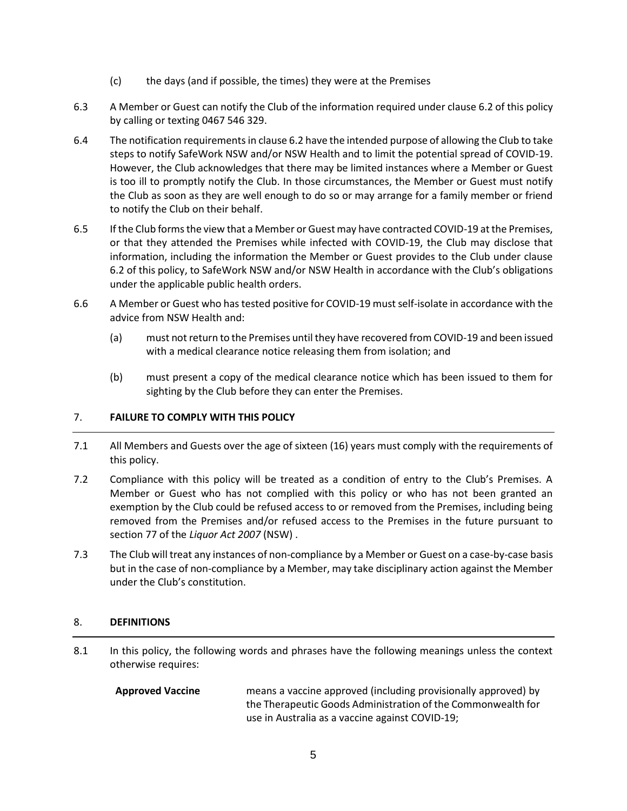- (c) the days (and if possible, the times) they were at the Premises
- 6.3 A Member or Guest can notify the Club of the information required under claus[e 6.2](#page-3-1) of this policy by calling or texting 0467 546 329.
- 6.4 The notification requirements in claus[e 6.2](#page-3-1) have the intended purpose of allowing the Club to take steps to notify SafeWork NSW and/or NSW Health and to limit the potential spread of COVID-19. However, the Club acknowledges that there may be limited instances where a Member or Guest is too ill to promptly notify the Club. In those circumstances, the Member or Guest must notify the Club as soon as they are well enough to do so or may arrange for a family member or friend to notify the Club on their behalf.
- <span id="page-4-1"></span>6.5 If the Club forms the view that a Member or Guest may have contracted COVID-19 at the Premises, or that they attended the Premises while infected with COVID-19, the Club may disclose that information, including the information the Member or Guest provides to the Club under clause [6.2](#page-3-1) of this policy, to SafeWork NSW and/or NSW Health in accordance with the Club's obligations under the applicable public health orders.
- 6.6 A Member or Guest who has tested positive for COVID-19 must self-isolate in accordance with the advice from NSW Health and:
	- (a) must not return to the Premises until they have recovered from COVID-19 and been issued with a medical clearance notice releasing them from isolation; and
	- (b) must present a copy of the medical clearance notice which has been issued to them for sighting by the Club before they can enter the Premises.

# 7. **FAILURE TO COMPLY WITH THIS POLICY**

- 7.1 All Members and Guests over the age of sixteen (16) years must comply with the requirements of this policy.
- 7.2 Compliance with this policy will be treated as a condition of entry to the Club's Premises. A Member or Guest who has not complied with this policy or who has not been granted an exemption by the Club could be refused access to or removed from the Premises, including being removed from the Premises and/or refused access to the Premises in the future pursuant to section 77 of the *Liquor Act 2007* (NSW) .
- 7.3 The Club will treat any instances of non-compliance by a Member or Guest on a case-by-case basis but in the case of non-compliance by a Member, may take disciplinary action against the Member under the Club's constitution.

# <span id="page-4-0"></span>8. **DEFINITIONS**

8.1 In this policy, the following words and phrases have the following meanings unless the context otherwise requires:

**Approved Vaccine** means a vaccine approved (including provisionally approved) by the Therapeutic Goods Administration of the Commonwealth for use in Australia as a vaccine against COVID-19;